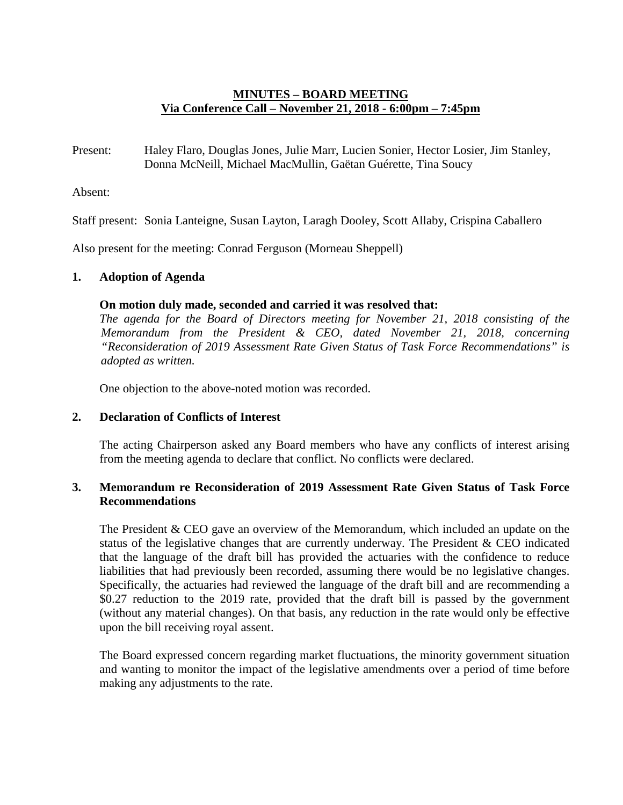# **MINUTES – BOARD MEETING Via Conference Call – November 21, 2018 - 6:00pm – 7:45pm**

Present: Haley Flaro, Douglas Jones, Julie Marr, Lucien Sonier, Hector Losier, Jim Stanley, Donna McNeill, Michael MacMullin, Gaëtan Guérette, Tina Soucy

Absent:

Staff present: Sonia Lanteigne, Susan Layton, Laragh Dooley, Scott Allaby, Crispina Caballero

Also present for the meeting: Conrad Ferguson (Morneau Sheppell)

# **1. Adoption of Agenda**

#### **On motion duly made, seconded and carried it was resolved that:**

*The agenda for the Board of Directors meeting for November 21, 2018 consisting of the Memorandum from the President & CEO, dated November 21, 2018, concerning "Reconsideration of 2019 Assessment Rate Given Status of Task Force Recommendations" is adopted as written.*

One objection to the above-noted motion was recorded.

### **2. Declaration of Conflicts of Interest**

The acting Chairperson asked any Board members who have any conflicts of interest arising from the meeting agenda to declare that conflict. No conflicts were declared.

### **3. Memorandum re Reconsideration of 2019 Assessment Rate Given Status of Task Force Recommendations**

The President & CEO gave an overview of the Memorandum, which included an update on the status of the legislative changes that are currently underway. The President & CEO indicated that the language of the draft bill has provided the actuaries with the confidence to reduce liabilities that had previously been recorded, assuming there would be no legislative changes. Specifically, the actuaries had reviewed the language of the draft bill and are recommending a \$0.27 reduction to the 2019 rate, provided that the draft bill is passed by the government (without any material changes). On that basis, any reduction in the rate would only be effective upon the bill receiving royal assent.

The Board expressed concern regarding market fluctuations, the minority government situation and wanting to monitor the impact of the legislative amendments over a period of time before making any adjustments to the rate.